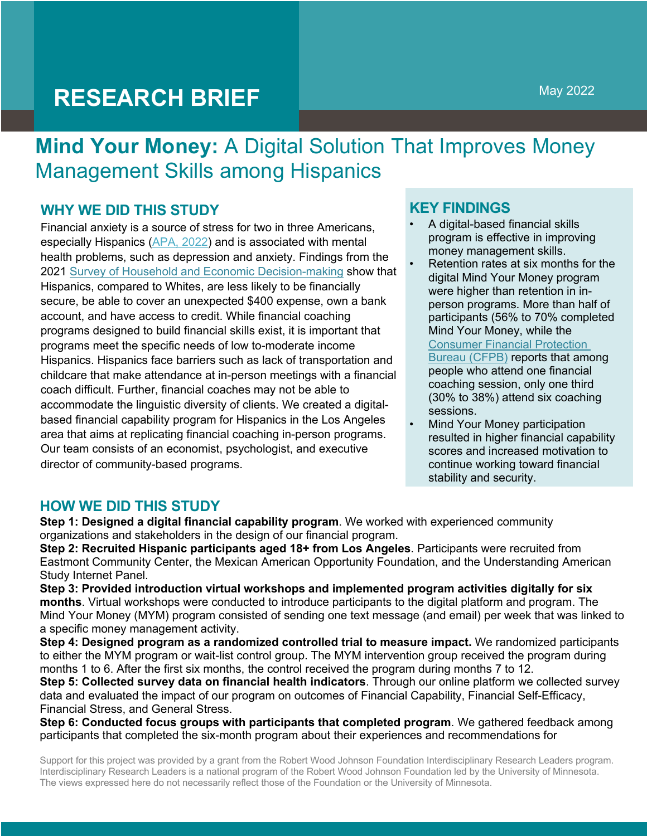# **RESEARCH BRIEF**

## **Mind Your Money:** A Digital Solution That Improves Money Management Skills among Hispanics

## **WHY WE DID THIS STUDY**

Financial anxiety is a source of stress for two in three Americans, especially Hispanics (APA, 2022) and is associated with mental health problems, such as depression and anxiety. Findings from the 2021 Survey of Household and Economic Decision-making show that Hispanics, compared to Whites, are less likely to be financially secure, be able to cover an unexpected \$400 expense, own a bank account, and have access to credit. While financial coaching programs designed to build financial skills exist, it is important that programs meet the specific needs of low to-moderate income Hispanics. Hispanics face barriers such as lack of transportation and childcare that make attendance at in-person meetings with a financial coach difficult. Further, financial coaches may not be able to accommodate the linguistic diversity of clients. We created a digitalbased financial capability program for Hispanics in the Los Angeles area that aims at replicating financial coaching in-person programs. Our team consists of an economist, psychologist, and executive director of community-based programs.

#### **KEY FINDINGS**

- A digital-based financial skills program is effective in improving money management skills.
- Retention rates at six months for the digital Mind Your Money program were higher than retention in inperson programs. More than half of participants (56% to 70% completed Mind Your Money, while the Consumer Financial Protection Bureau (CFPB) reports that among people who attend one financial coaching session, only one third (30% to 38%) attend six coaching sessions.
- Mind Your Money participation resulted in higher financial capability scores and increased motivation to continue working toward financial stability and security.

#### **HOW WE DID THIS STUDY**

**Step 1: Designed a digital financial capability program**. We worked with experienced community organizations and stakeholders in the design of our financial program.

**Step 2: Recruited Hispanic participants aged 18+ from Los Angeles**. Participants were recruited from Eastmont Community Center, the Mexican American Opportunity Foundation, and the Understanding American Study Internet Panel.

**Step 3: Provided introduction virtual workshops and implemented program activities digitally for six months**. Virtual workshops were conducted to introduce participants to the digital platform and program. The Mind Your Money (MYM) program consisted of sending one text message (and email) per week that was linked to a specific money management activity.

**Step 4: Designed program as a randomized controlled trial to measure impact.** We randomized participants to either the MYM program or wait-list control group. The MYM intervention group received the program during months 1 to 6. After the first six months, the control received the program during months 7 to 12.

**Step 5: Collected survey data on financial health indicators**. Through our online platform we collected survey data and evaluated the impact of our program on outcomes of Financial Capability, Financial Self-Efficacy, Financial Stress, and General Stress.

**Step 6: Conducted focus groups with participants that completed program**. We gathered feedback among participants that completed the six-month program about their experiences and recommendations for

Support for this project was provided by a grant from the Robert Wood Johnson Foundation Interdisciplinary Research Leaders program. Interdisciplinary Research Leaders is a national program of the Robert Wood Johnson Foundation led by the University of Minnesota. The views expressed here do not necessarily reflect those of the Foundation or the University of Minnesota.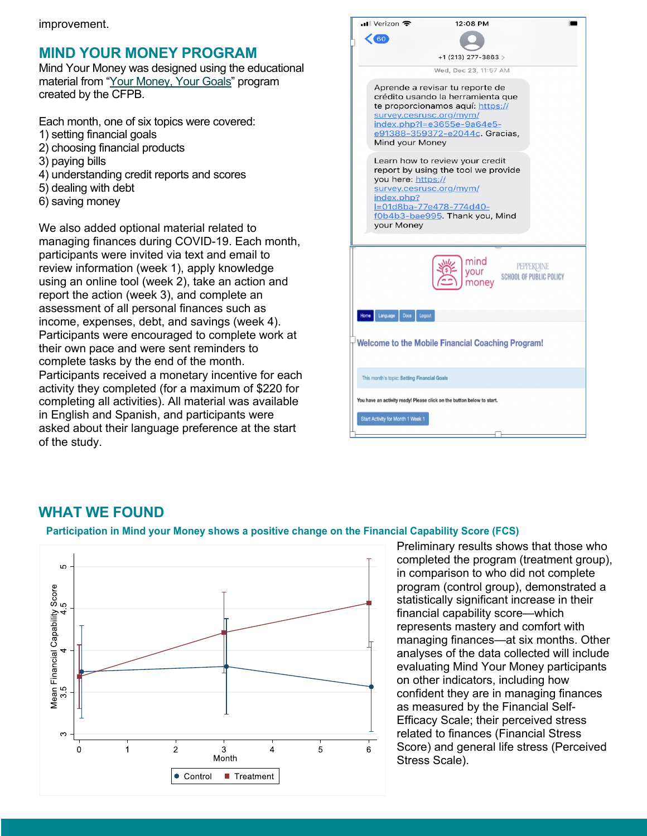## **MIND YOUR MONEY PROGRAM**

Mind Your Money was designed using the educational material from "Your Money, Your Goals" program created by the CFPB.

Each month, one of six topics were covered: 1) setting financial goals

- 2) choosing financial products
- 3) paying bills
- 4) understanding credit reports and scores
- 5) dealing with debt
- 6) saving money

We also added optional material related to managing finances during COVID-19. Each month, participants were invited via text and email to review information (week 1), apply knowledge using an online tool (week 2), take an action and report the action (week 3), and complete an assessment of all personal finances such as income, expenses, debt, and savings (week 4). Participants were encouraged to complete work at their own pace and were sent reminders to complete tasks by the end of the month. Participants received a monetary incentive for each activity they completed (for a maximum of \$220 for completing all activities). All material was available in English and Spanish, and participants were asked about their language preference at the start of the study.

|                                                                        | ∎l Verizon କ<br>12:08 PM                                                                                                                                                                                               |  |
|------------------------------------------------------------------------|------------------------------------------------------------------------------------------------------------------------------------------------------------------------------------------------------------------------|--|
|                                                                        | 60                                                                                                                                                                                                                     |  |
|                                                                        | $+1$ (213) 277-3863 >                                                                                                                                                                                                  |  |
|                                                                        | Wed, Dec 23, 11:57 AM                                                                                                                                                                                                  |  |
|                                                                        | Aprende a revisar tu reporte de<br>crédito usando la herramienta que<br>te proporcionamos aquí: https://<br>survey.cesrusc.org/mym/<br>index.php?l=e3655e-9a64e5-<br>e91388-359372-e2044c. Gracias,<br>Mind your Money |  |
|                                                                        | Learn how to review your credit<br>report by using the tool we provide<br>you here: https://<br>survey.cesrusc.org/mym/<br>index.php?<br>l=01d8ba-77e478-774d40-<br>f0b4b3-bae995. Thank you, Mind<br>your Money       |  |
|                                                                        | mind<br>PEPPERDINE<br>your<br><b>SCHOOL OF PUBLIC POLICY</b><br>money                                                                                                                                                  |  |
| Home                                                                   | Language<br><b>Docs</b><br>Logout                                                                                                                                                                                      |  |
| <b>Welcome to the Mobile Financial Coaching Program!</b>               |                                                                                                                                                                                                                        |  |
|                                                                        | This month's topic: Setting Financial Goals                                                                                                                                                                            |  |
| You have an activity ready! Please click on the button below to start. |                                                                                                                                                                                                                        |  |
|                                                                        | Start Activity for Month 1 Week 1                                                                                                                                                                                      |  |

#### **WHAT WE FOUND**

#### **Participation in Mind your Money shows a positive change on the Financial Capability Score (FCS)**



Preliminary results shows that those who completed the program (treatment group), in comparison to who did not complete program (control group), demonstrated a statistically significant increase in their financial capability score—which represents mastery and comfort with managing finances—at six months. Other analyses of the data collected will include evaluating Mind Your Money participants on other indicators, including how confident they are in managing finances as measured by the Financial Self-Efficacy Scale; their perceived stress related to finances (Financial Stress Score) and general life stress (Perceived Stress Scale).